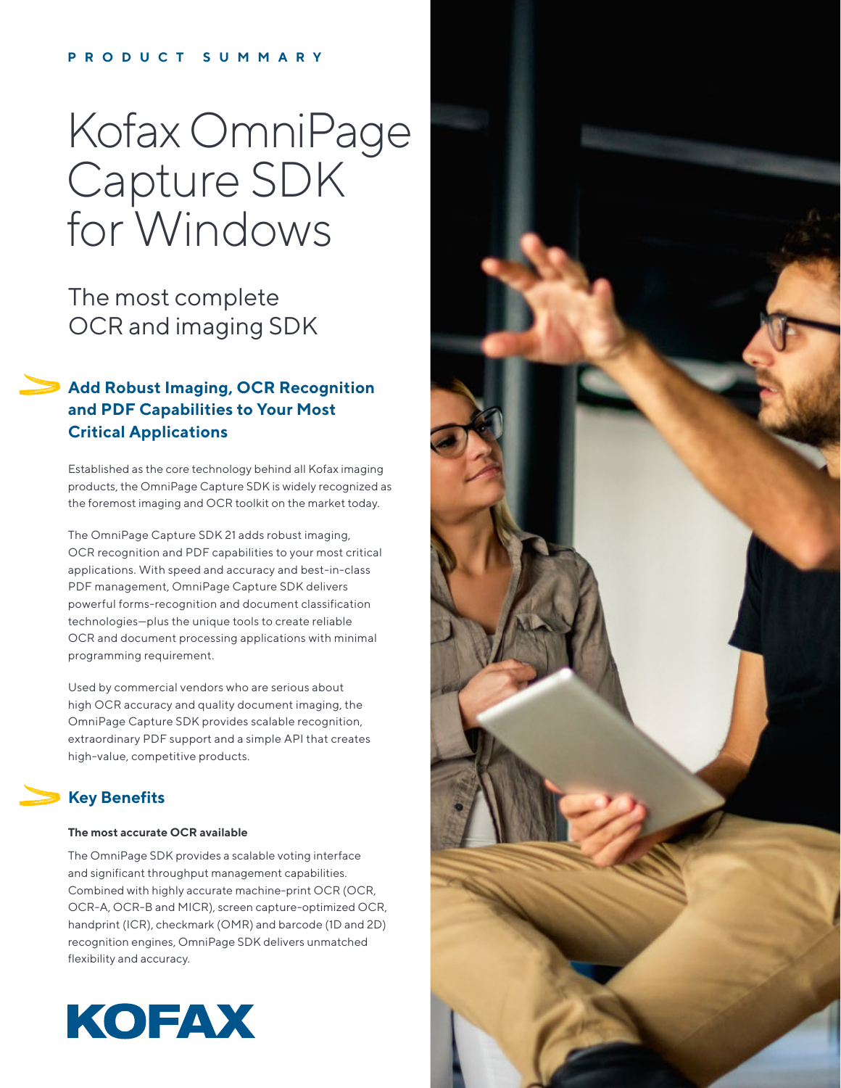## **PRODUCT SUMMARY**

# Kofax OmniPage Capture SDK for Windows

The most complete OCR and imaging SDK

## **Add Robust Imaging, OCR Recognition and PDF Capabilities to Your Most Critical Applications**

Established as the core technology behind all Kofax imaging products, the OmniPage Capture SDK is widely recognized as the foremost imaging and OCR toolkit on the market today.

The OmniPage Capture SDK 21 adds robust imaging, OCR recognition and PDF capabilities to your most critical applications. With speed and accuracy and best-in-class PDF management, OmniPage Capture SDK delivers powerful forms-recognition and document classification technologies—plus the unique tools to create reliable OCR and document processing applications with minimal programming requirement.

Used by commercial vendors who are serious about high OCR accuracy and quality document imaging, the OmniPage Capture SDK provides scalable recognition, extraordinary PDF support and a simple API that creates high-value, competitive products.

# **Key Benefits**

## **The most accurate OCR available**

The OmniPage SDK provides a scalable voting interface and significant throughput management capabilities. Combined with highly accurate machine-print OCR (OCR, OCR-A, OCR-B and MICR), screen capture-optimized OCR, handprint (ICR), checkmark (OMR) and barcode (1D and 2D) recognition engines, OmniPage SDK delivers unmatched flexibility and accuracy.



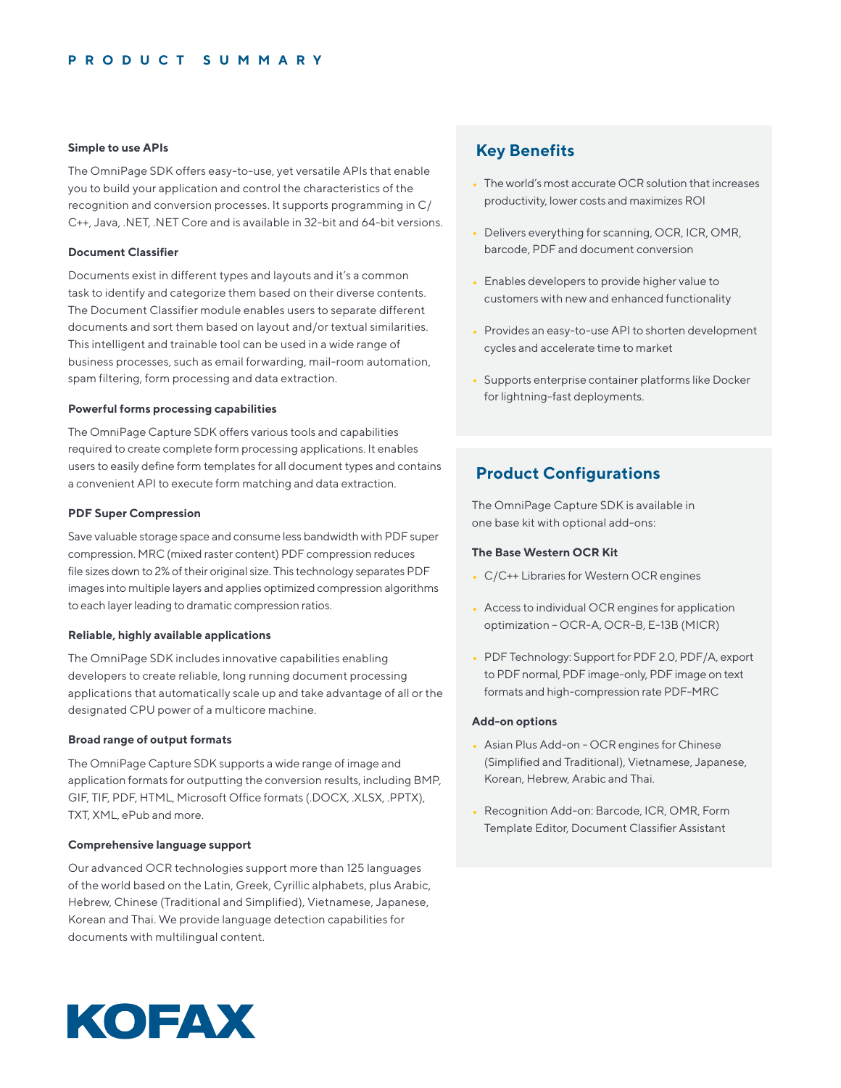## **Simple to use APIs**

The OmniPage SDK offers easy-to-use, yet versatile APIs that enable you to build your application and control the characteristics of the recognition and conversion processes. It supports programming in C/ C++, Java, .NET, .NET Core and is available in 32-bit and 64-bit versions.

## **Document Classifier**

Documents exist in different types and layouts and it's a common task to identify and categorize them based on their diverse contents. The Document Classifier module enables users to separate different documents and sort them based on layout and/or textual similarities. This intelligent and trainable tool can be used in a wide range of business processes, such as email forwarding, mail-room automation, spam filtering, form processing and data extraction.

#### **Powerful forms processing capabilities**

The OmniPage Capture SDK offers various tools and capabilities required to create complete form processing applications. It enables users to easily define form templates for all document types and contains a convenient API to execute form matching and data extraction.

#### **PDF Super Compression**

Save valuable storage space and consume less bandwidth with PDF super compression. MRC (mixed raster content) PDF compression reduces file sizes down to 2% of their original size. This technology separates PDF images into multiple layers and applies optimized compression algorithms to each layer leading to dramatic compression ratios.

## **Reliable, highly available applications**

The OmniPage SDK includes innovative capabilities enabling developers to create reliable, long running document processing applications that automatically scale up and take advantage of all or the designated CPU power of a multicore machine.

## **Broad range of output formats**

The OmniPage Capture SDK supports a wide range of image and application formats for outputting the conversion results, including BMP, GIF, TIF, PDF, HTML, Microsoft Office formats (.DOCX, .XLSX, .PPTX), TXT, XML, ePub and more.

## **Comprehensive language support**

Our advanced OCR technologies support more than 125 languages of the world based on the Latin, Greek, Cyrillic alphabets, plus Arabic, Hebrew, Chinese (Traditional and Simplified), Vietnamese, Japanese, Korean and Thai. We provide language detection capabilities for documents with multilingual content.

## **Key Benefits**

- The world's most accurate OCR solution that increases productivity, lower costs and maximizes ROI
- Delivers everything for scanning, OCR, ICR, OMR, barcode, PDF and document conversion
- Enables developers to provide higher value to customers with new and enhanced functionality
- Provides an easy-to-use API to shorten development cycles and accelerate time to market
- Supports enterprise container platforms like Docker for lightning-fast deployments.

## **Product Configurations**

The OmniPage Capture SDK is available in one base kit with optional add-ons:

## **The Base Western OCR Kit**

- C/C++ Libraries for Western OCR engines
- Access to individual OCR engines for application optimization – OCR-A, OCR-B, E-13B (MICR)
- PDF Technology: Support for PDF 2.0, PDF/A, export to PDF normal, PDF image-only, PDF image on text formats and high-compression rate PDF-MRC

## **Add-on options**

- Asian Plus Add-on OCR engines for Chinese (Simplified and Traditional), Vietnamese, Japanese, Korean, Hebrew, Arabic and Thai.
- Recognition Add-on: Barcode, ICR, OMR, Form Template Editor, Document Classifier Assistant